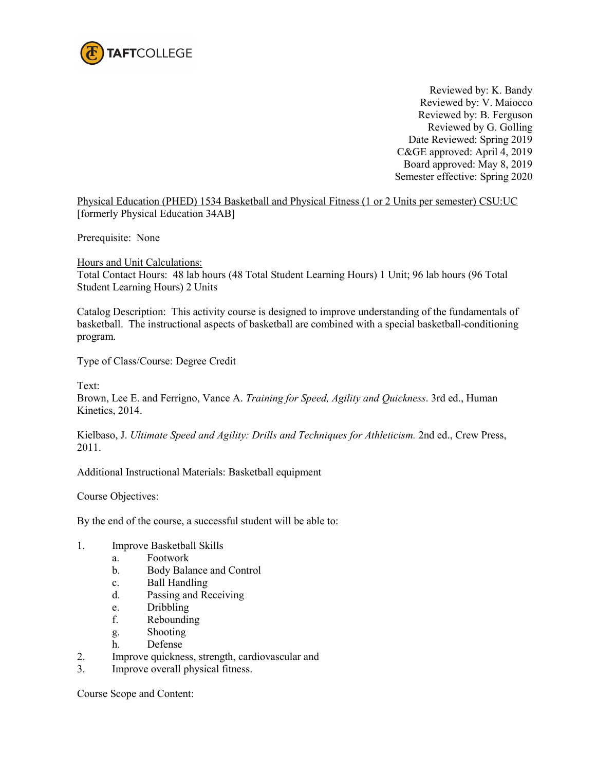

Reviewed by: K. Bandy Reviewed by: V. Maiocco Reviewed by: B. Ferguson Reviewed by G. Golling Date Reviewed: Spring 2019 C&GE approved: April 4, 2019 Board approved: May 8, 2019 Semester effective: Spring 2020

Physical Education (PHED) 1534 Basketball and Physical Fitness (1 or 2 Units per semester) CSU:UC [formerly Physical Education 34AB]

Prerequisite: None

Hours and Unit Calculations:

Total Contact Hours: 48 lab hours (48 Total Student Learning Hours) 1 Unit; 96 lab hours (96 Total Student Learning Hours) 2 Units

Catalog Description: This activity course is designed to improve understanding of the fundamentals of basketball. The instructional aspects of basketball are combined with a special basketball-conditioning program.

Type of Class/Course: Degree Credit

Text:

Brown, Lee E. and Ferrigno, Vance A. *Training for Speed, Agility and Quickness*. 3rd ed., Human Kinetics, 2014.

Kielbaso, J. *Ultimate Speed and Agility: Drills and Techniques for Athleticism.* 2nd ed., Crew Press, 2011.

Additional Instructional Materials: Basketball equipment

Course Objectives:

By the end of the course, a successful student will be able to:

- 1. Improve Basketball Skills
	- a. Footwork
	- b. Body Balance and Control
	- c. Ball Handling
	- d. Passing and Receiving
	- e. Dribbling
	- f. Rebounding
	- g. Shooting
	- h. Defense
- 2. Improve quickness, strength, cardiovascular and
- 3. Improve overall physical fitness.

Course Scope and Content: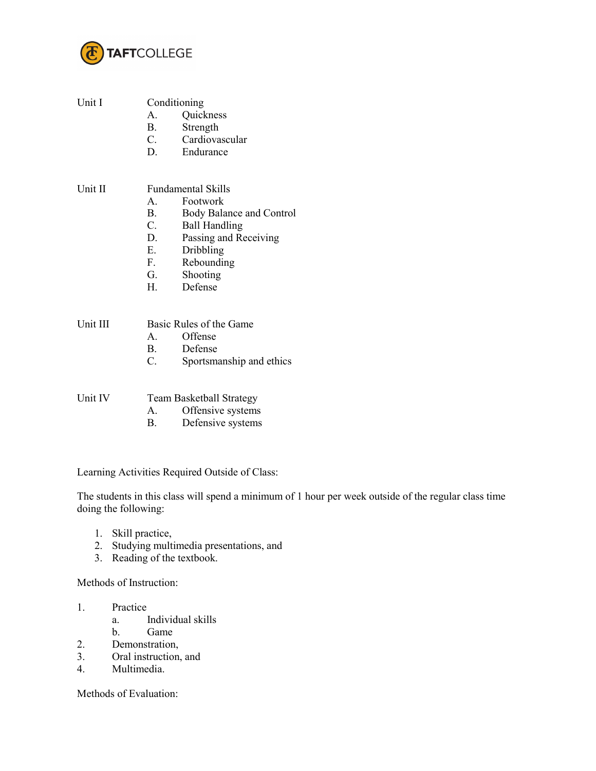

| Unit I   | Conditioning<br>A.<br><b>B</b> .                                         | Quickness<br>Strength<br>C. Cardiovascular<br>D. Endurance                                                                                                           |
|----------|--------------------------------------------------------------------------|----------------------------------------------------------------------------------------------------------------------------------------------------------------------|
| Unit II  | $\mathbf{A}$<br><b>B</b> .<br>C.<br>D.<br>E.<br>$F_{\rm{L}}$<br>G.<br>H. | <b>Fundamental Skills</b><br>Footwork<br>Body Balance and Control<br><b>Ball Handling</b><br>Passing and Receiving<br>Dribbling<br>Rebounding<br>Shooting<br>Defense |
| Unit III | $\mathbf{B}$ .<br>$C_{\cdot}$                                            | Basic Rules of the Game<br>A. Offense<br>Defense<br>Sportsmanship and ethics                                                                                         |
| Unit IV  | А.<br>В.                                                                 | <b>Team Basketball Strategy</b><br>Offensive systems<br>Defensive systems                                                                                            |

Learning Activities Required Outside of Class:

The students in this class will spend a minimum of 1 hour per week outside of the regular class time doing the following:

- 1. Skill practice,
- 2. Studying multimedia presentations, and
- 3. Reading of the textbook.

Methods of Instruction:

- 1. Practice
	- a. Individual skills
	- b. Game
- 2. Demonstration,
- 3. Oral instruction, and
- 4. Multimedia.

Methods of Evaluation: